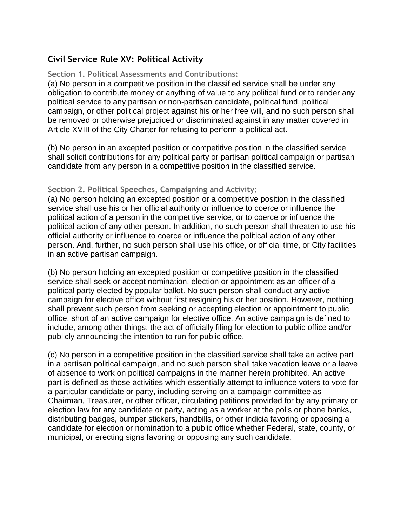# **Civil Service Rule XV: Political Activity**

# **Section 1. Political Assessments and Contributions:**

(a) No person in a competitive position in the classified service shall be under any obligation to contribute money or anything of value to any political fund or to render any political service to any partisan or non-partisan candidate, political fund, political campaign, or other political project against his or her free will, and no such person shall be removed or otherwise prejudiced or discriminated against in any matter covered in Article XVIII of the City Charter for refusing to perform a political act.

(b) No person in an excepted position or competitive position in the classified service shall solicit contributions for any political party or partisan political campaign or partisan candidate from any person in a competitive position in the classified service.

## **Section 2. Political Speeches, Campaigning and Activity:**

(a) No person holding an excepted position or a competitive position in the classified service shall use his or her official authority or influence to coerce or influence the political action of a person in the competitive service, or to coerce or influence the political action of any other person. In addition, no such person shall threaten to use his official authority or influence to coerce or influence the political action of any other person. And, further, no such person shall use his office, or official time, or City facilities in an active partisan campaign.

(b) No person holding an excepted position or competitive position in the classified service shall seek or accept nomination, election or appointment as an officer of a political party elected by popular ballot. No such person shall conduct any active campaign for elective office without first resigning his or her position. However, nothing shall prevent such person from seeking or accepting election or appointment to public office, short of an active campaign for elective office. An active campaign is defined to include, among other things, the act of officially filing for election to public office and/or publicly announcing the intention to run for public office.

(c) No person in a competitive position in the classified service shall take an active part in a partisan political campaign, and no such person shall take vacation leave or a leave of absence to work on political campaigns in the manner herein prohibited. An active part is defined as those activities which essentially attempt to influence voters to vote for a particular candidate or party, including serving on a campaign committee as Chairman, Treasurer, or other officer, circulating petitions provided for by any primary or election law for any candidate or party, acting as a worker at the polls or phone banks, distributing badges, bumper stickers, handbills, or other indicia favoring or opposing a candidate for election or nomination to a public office whether Federal, state, county, or municipal, or erecting signs favoring or opposing any such candidate.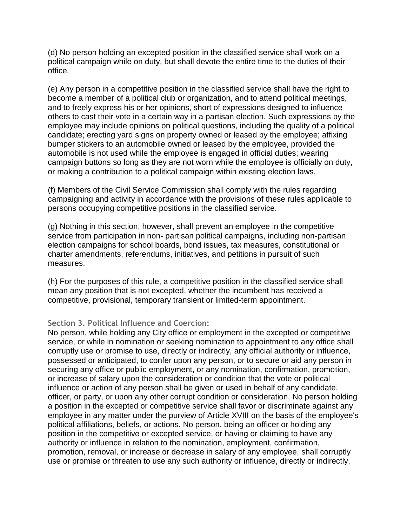(d) No person holding an excepted position in the classified service shall work on a political campaign while on duty, but shall devote the entire time to the duties of their office.

(e) Any person in a competitive position in the classified service shall have the right to become a member of a political club or organization, and to attend political meetings, and to freely express his or her opinions, short of expressions designed to influence others to cast their vote in a certain way in a partisan election. Such expressions by the employee may include opinions on political questions, including the quality of a political candidate; erecting yard signs on property owned or leased by the employee; affixing bumper stickers to an automobile owned or leased by the employee, provided the automobile is not used while the employee is engaged in official duties; wearing campaign buttons so long as they are not worn while the employee is officially on duty, or making a contribution to a political campaign within existing election laws.

(f) Members of the Civil Service Commission shall comply with the rules regarding campaigning and activity in accordance with the provisions of these rules applicable to persons occupying competitive positions in the classified service.

(g) Nothing in this section, however, shall prevent an employee in the competitive service from participation in non- partisan political campaigns, including non-partisan election campaigns for school boards, bond issues, tax measures, constitutional or charter amendments, referendums, initiatives, and petitions in pursuit of such measures.

(h) For the purposes of this rule, a competitive position in the classified service shall mean any position that is not excepted, whether the incumbent has received a competitive, provisional, temporary transient or limited-term appointment.

# **Section 3. Political Influence and Coercion:**

No person, while holding any City office or employment in the excepted or competitive service, or while in nomination or seeking nomination to appointment to any office shall corruptly use or promise to use, directly or indirectly, any official authority or influence, possessed or anticipated, to confer upon any person, or to secure or aid any person in securing any office or public employment, or any nomination, confirmation, promotion, or increase of salary upon the consideration or condition that the vote or political influence or action of any person shall be given or used in behalf of any candidate, officer, or party, or upon any other corrupt condition or consideration. No person holding a position in the excepted or competitive service shall favor or discriminate against any employee in any matter under the purview of Article XVIII on the basis of the employee's political affiliations, beliefs, or actions. No person, being an officer or holding any position in the competitive or excepted service, or having or claiming to have any authority or influence in relation to the nomination, employment, confirmation, promotion, removal, or increase or decrease in salary of any employee, shall corruptly use or promise or threaten to use any such authority or influence, directly or indirectly,